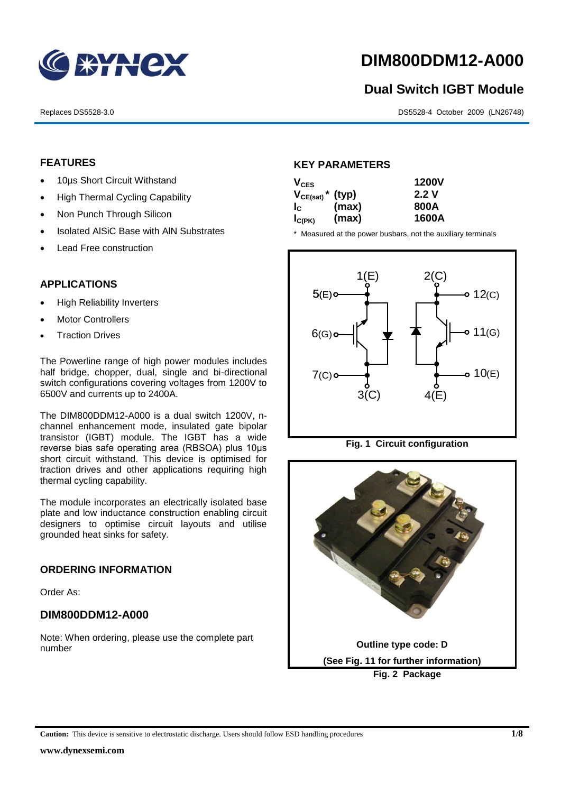

## **DIM800DDM12-A000**

# **Dual Switch IGBT Module** 1<br>1<br>1

Replaces DS5528-3.0 DS5528-4 October 2009 (LN26748)

#### **FEATURES**

- 10µs Short Circuit Withstand
	- High Thermal Cycling Capability
- Non Punch Through Silicon
	- Isolated AISiC Base with AIN Substrates
	- Lead Free construction

#### **APPLICATIONS**

- High Reliability Inverters
- Motor Controllers
- Traction Drives

The Powerline range of high power modules includes half bridge, chopper, dual, single and bi-directional switch configurations covering voltages from 1200V to 6500V and currents up to 2400A.

The DIM800DDM12-A000 is a dual switch 1200V, nchannel enhancement mode, insulated gate bipolar transistor (IGBT) module. The IGBT has a wide reverse bias safe operating area (RBSOA) plus 10μs short circuit withstand. This device is optimised for traction drives and other applications requiring high thermal cycling capability.

The module incorporates an electrically isolated base plate and low inductance construction enabling circuit designers to optimise circuit layouts and utilise grounded heat sinks for safety.

#### **ORDERING INFORMATION**

Order As:

#### **DIM800DDM12-A000**

Note: When ordering, please use the complete part number

#### **KEY PARAMETERS**

| $V_{CES}$   |                                  | <b>1200V</b> |  |
|-------------|----------------------------------|--------------|--|
|             | $V_{CE(sat)}$ <sup>*</sup> (typ) | 2.2V         |  |
| $I_{\rm c}$ | (max)                            | 800A         |  |
| $I_{C(PK)}$ | (max)                            | 1600A        |  |

\* Measured at the power busbars, not the auxiliary terminals



**Fig. 1 Circuit configuration**

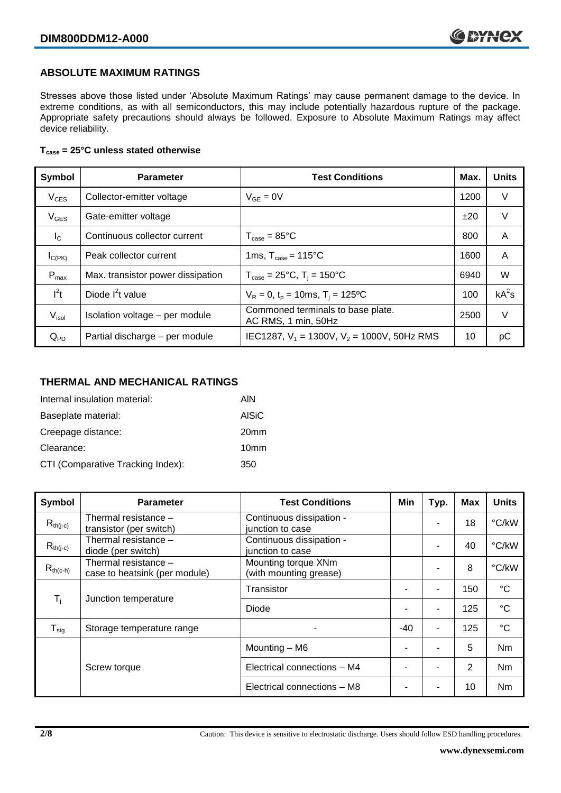#### **ABSOLUTE MAXIMUM RATINGS**

Stresses above those listed under 'Absolute Maximum Ratings' may cause permanent damage to the device. In extreme conditions, as with all semiconductors, this may include potentially hazardous rupture of the package. Appropriate safety precautions should always be followed. Exposure to Absolute Maximum Ratings may affect device reliability.

#### **Tcase = 25°C unless stated otherwise**

| Symbol            | <b>Parameter</b>                  | <b>Test Conditions</b>                                   | Max. | <b>Units</b> |
|-------------------|-----------------------------------|----------------------------------------------------------|------|--------------|
| $V_{CES}$         | Collector-emitter voltage         | $V_{GF} = 0V$                                            | 1200 | $\vee$       |
| $V_{GES}$         | Gate-emitter voltage              |                                                          | ±20  | $\vee$       |
| $I_{\rm C}$       | Continuous collector current      | $T_{\text{case}} = 85^{\circ}$ C                         | 800  | A            |
| $I_{C(PK)}$       | Peak collector current            | 1ms, $T_{\text{case}} = 115^{\circ}$ C                   | 1600 | A            |
| $P_{max}$         | Max. transistor power dissipation | $T_{\text{case}} = 25^{\circ}C$ , $T_i = 150^{\circ}C$   | 6940 | W            |
| $I^2t$            | Diode $I^2t$ value                | $V_R = 0$ , $t_p = 10$ ms, $T_i = 125$ °C                | 100  | $kA^2s$      |
| V <sub>isol</sub> | Isolation voltage - per module    | Commoned terminals to base plate.<br>AC RMS, 1 min, 50Hz | 2500 | $\vee$       |
| $Q_{PD}$          | Partial discharge - per module    | IEC1287, $V_1$ = 1300V, $V_2$ = 1000V, 50Hz RMS          | 10   | рC           |

#### **THERMAL AND MECHANICAL RATINGS**

| Internal insulation material:     | AIN              |
|-----------------------------------|------------------|
| Baseplate material:               | <b>AISiC</b>     |
| Creepage distance:                | 20 <sub>mm</sub> |
| Clearance:                        | 10 <sub>mm</sub> |
| CTI (Comparative Tracking Index): | 350              |

| <b>Symbol</b>                                   | <b>Parameter</b>                                      | <b>Test Conditions</b>                        | Min   | Typ. | <b>Max</b> | <b>Units</b> |
|-------------------------------------------------|-------------------------------------------------------|-----------------------------------------------|-------|------|------------|--------------|
| $R_{th(i-c)}$                                   | Thermal resistance -<br>transistor (per switch)       | Continuous dissipation -<br>junction to case  |       |      | 18         | °C/kW        |
| $R_{th(j-c)}$                                   | Thermal resistance -<br>diode (per switch)            | Continuous dissipation -<br>junction to case  |       |      | 40         | °C/kW        |
| $R_{th(c-h)}$                                   | Thermal resistance -<br>case to heatsink (per module) | Mounting torque XNm<br>(with mounting grease) |       |      | 8          | °C/kW        |
| $\mathsf{T}_\mathsf{i}$<br>Junction temperature |                                                       | Transistor                                    |       | ۰    | 150        | $^{\circ}C$  |
|                                                 |                                                       | Diode                                         |       | ۰    | 125        | $^{\circ}C$  |
| ${\mathsf T}_{\text{stg}}$                      | Storage temperature range                             |                                               | $-40$ | ٠    | 125        | $^{\circ}C$  |
|                                                 |                                                       | Mounting - M6                                 |       |      | 5          | <b>Nm</b>    |
|                                                 | Screw torque                                          | Electrical connections - M4                   |       |      | 2          | Nm           |
|                                                 |                                                       | Electrical connections - M8                   |       |      | 10         | <b>Nm</b>    |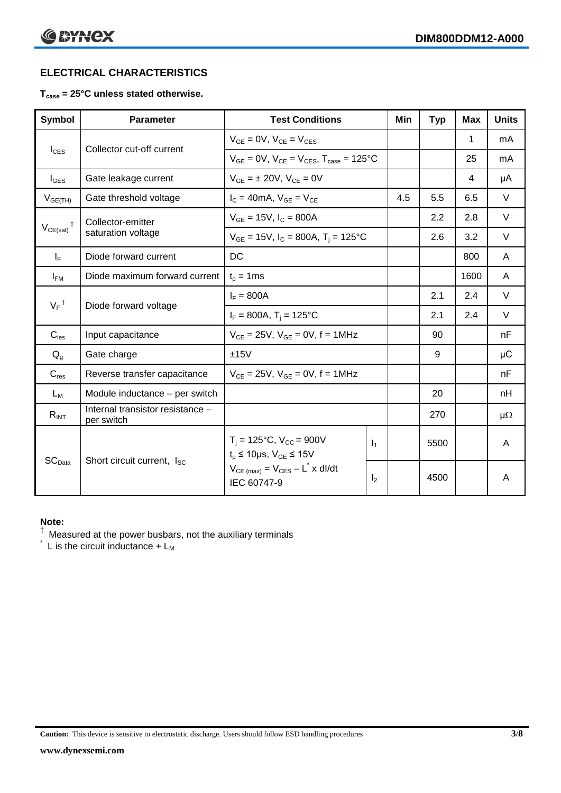#### **ELECTRICAL CHARACTERISTICS**

#### **Tcase = 25°C unless stated otherwise.**

| Symbol                                      | <b>Parameter</b>                               | <b>Test Conditions</b>                                                   |                | Min | <b>Typ</b> | <b>Max</b> | <b>Units</b> |
|---------------------------------------------|------------------------------------------------|--------------------------------------------------------------------------|----------------|-----|------------|------------|--------------|
|                                             |                                                | $V_{GF} = 0V$ , $V_{CE} = V_{CES}$                                       |                |     |            | 1          | mA           |
| $I_{\text{CES}}$                            | Collector cut-off current                      | $V_{GE} = 0V$ , $V_{CE} = V_{CES}$ , $T_{case} = 125$ °C                 |                |     |            | 25         | mA           |
| $I_{\text{GES}}$                            | Gate leakage current                           | $V_{GE} = \pm 20V$ , $V_{CE} = 0V$                                       |                |     |            | 4          | μA           |
| $V_{GE(TH)}$                                | Gate threshold voltage                         | $I_C = 40mA$ , $V_{GE} = V_{CE}$                                         |                | 4.5 | 5.5        | 6.5        | $\vee$       |
| $\ddagger$                                  | Collector-emitter                              | $V_{GE}$ = 15V, $I_C$ = 800A                                             |                |     | 2.2        | 2.8        | $\vee$       |
| $V_{CE(sat)}$                               | saturation voltage                             | $V_{GE}$ = 15V, $I_C$ = 800A, $T_i$ = 125°C                              |                |     | 2.6        | 3.2        | $\vee$       |
| $I_F$                                       | Diode forward current                          | <b>DC</b>                                                                |                |     |            | 800        | A            |
| $I_{FM}$                                    | Diode maximum forward current                  | $t_p = 1$ ms                                                             |                |     |            | 1600       | A            |
|                                             |                                                | $I_F = 800A$                                                             |                |     | 2.1        | 2.4        | $\vee$       |
| $V_F$ <sup>†</sup><br>Diode forward voltage | $I_F = 800A$ , T <sub>i</sub> = 125°C          |                                                                          |                | 2.1 | 2.4        | $\vee$     |              |
| $C_{\text{ies}}$                            | Input capacitance                              | $V_{CF} = 25V$ , $V_{GF} = 0V$ , f = 1MHz                                |                |     | 90         |            | nF           |
| $Q_q$                                       | Gate charge                                    | ±15V                                                                     |                |     | 9          |            | μC           |
| $C_{res}$                                   | Reverse transfer capacitance                   | $V_{CE} = 25V$ , $V_{GE} = 0V$ , f = 1MHz                                |                |     |            |            | nF           |
| $L_M$                                       | Module inductance - per switch                 |                                                                          |                |     | 20         |            | nH           |
| $R_{INT}$                                   | Internal transistor resistance -<br>per switch |                                                                          |                |     | 270        |            | $\mu\Omega$  |
|                                             |                                                | $T_i = 125$ °C, $V_{CC} = 900V$<br>$t_p \le 10 \mu s$ , $V_{GE} \le 15V$ | $\mathsf{I}_1$ |     | 5500       |            | A            |
| $\mathsf{SC}_{\mathsf{Data}}$               | Short circuit current, I <sub>SC</sub>         | $V_{CE \text{ (max)}} = V_{CES} - L^* \times dl/dt$<br>IEC 60747-9       | I <sub>2</sub> |     | 4500       |            | A            |

#### **Note:**

 $^{\dagger}$  Measured at the power busbars, not the auxiliary terminals

 $\check{}$  L is the circuit inductance +  $L_M$ 

**Caution:** This device is sensitive to electrostatic discharge. Users should follow ESD handling procedures **3/8**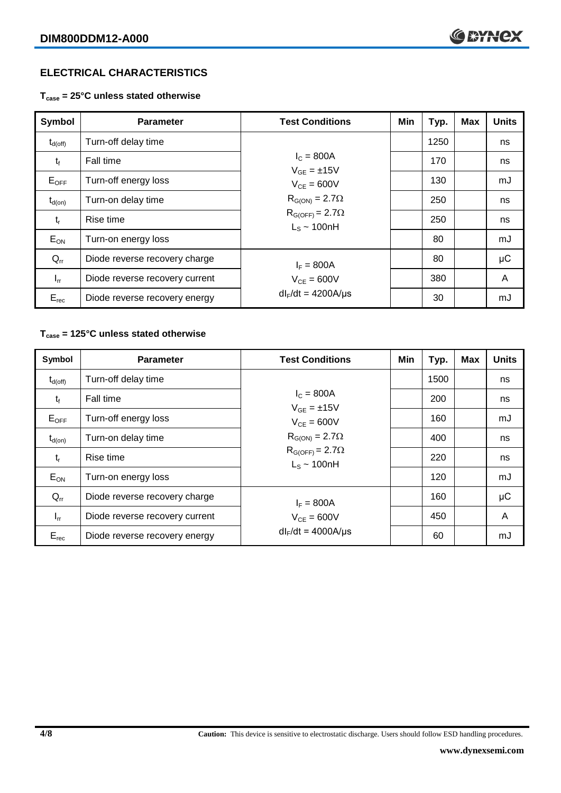#### **ELECTRICAL CHARACTERISTICS**

**Tcase = 25°C unless stated otherwise**

| Symbol              | <b>Parameter</b>               | <b>Test Conditions</b>                        | Min | Typ. | <b>Max</b> | <b>Units</b> |
|---------------------|--------------------------------|-----------------------------------------------|-----|------|------------|--------------|
| $t_{d(\text{off})}$ | Turn-off delay time            |                                               |     | 1250 |            | ns           |
| $t_{f}$             | Fall time                      | $I_{C} = 800A$<br>$V_{GF} = \pm 15V$          |     | 170  |            | ns           |
| $E_{\mathsf{OFF}}$  | Turn-off energy loss           | $V_{CF} = 600V$                               |     | 130  |            | mJ           |
| $t_{d(on)}$         | Turn-on delay time             | $R_{G(ON)} = 2.7\Omega$                       |     | 250  |            | ns           |
| $t_{r}$             | Rise time                      | $R_{G(OFF)} = 2.7\Omega$<br>$L_s \sim 100$ nH |     | 250  |            | ns           |
| $E_{ON}$            | Turn-on energy loss            |                                               |     | 80   |            | mJ           |
| $Q_{rr}$            | Diode reverse recovery charge  | $I_F = 800A$                                  |     | 80   |            | μC           |
| $I_{rr}$            | Diode reverse recovery current | $V_{CF} = 600V$                               |     | 380  |            | A            |
| $E_{rec}$           | Diode reverse recovery energy  | $dl_F/dt = 4200A/\mu s$                       |     | 30   |            | mJ           |

#### **Tcase = 125°C unless stated otherwise**

| Symbol              | <b>Parameter</b>               | <b>Test Conditions</b>                        | Min | Typ. | <b>Max</b> | <b>Units</b> |
|---------------------|--------------------------------|-----------------------------------------------|-----|------|------------|--------------|
| $t_{d(\text{off})}$ | Turn-off delay time            |                                               |     | 1500 |            | ns           |
| $t_{\rm f}$         | Fall time                      | $I_{C} = 800A$<br>$V_{GF} = \pm 15V$          |     | 200  |            | ns           |
| $E_{OFF}$           | Turn-off energy loss           | $V_{CF} = 600V$                               |     | 160  |            | mJ           |
| $t_{d(on)}$         | Turn-on delay time             | $R_{G(ON)} = 2.7\Omega$                       |     | 400  |            | ns           |
| $t_{r}$             | Rise time                      | $R_{G(OFF)} = 2.7\Omega$<br>$L_s \sim 100$ nH |     | 220  |            | ns           |
| $E_{ON}$            | Turn-on energy loss            |                                               |     | 120  |            | mJ           |
| $Q_{rr}$            | Diode reverse recovery charge  | $I_F = 800A$                                  |     | 160  |            | $\mu$ C      |
| $I_{rr}$            | Diode reverse recovery current | $V_{CE} = 600V$                               |     | 450  |            | A            |
| $E_{rec}$           | Diode reverse recovery energy  | $dl_F/dt = 4000A/\mu s$                       |     | 60   |            | mJ           |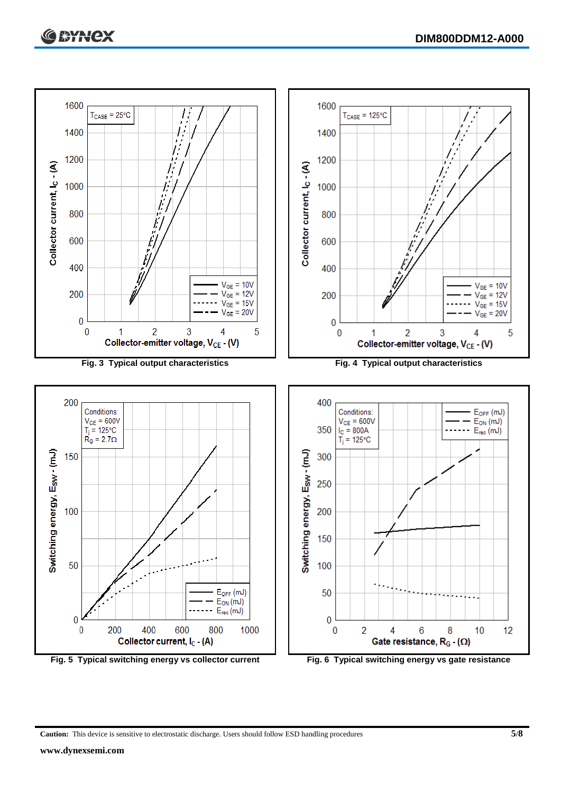

**Fig. 5 Typical switching energy vs collector current Fig. 6 Typical switching energy vs gate resistance**

**Caution:** This device is sensitive to electrostatic discharge. Users should follow ESD handling procedures **5/8**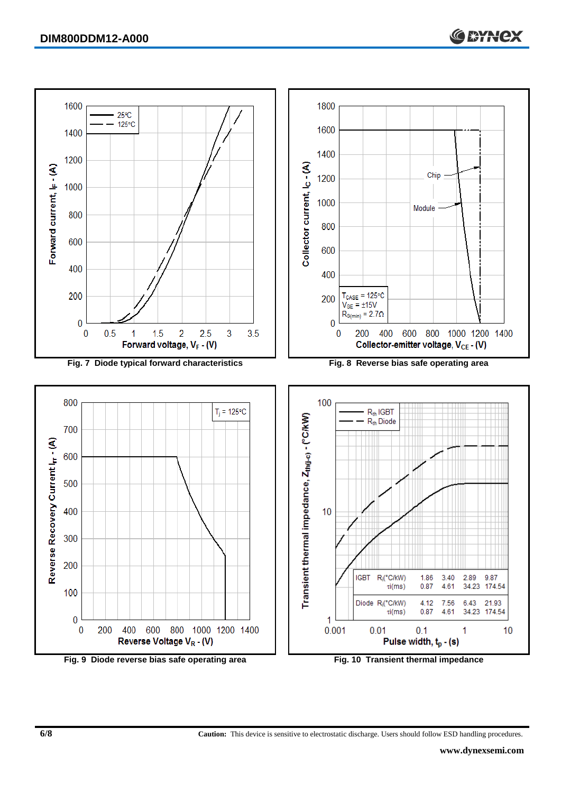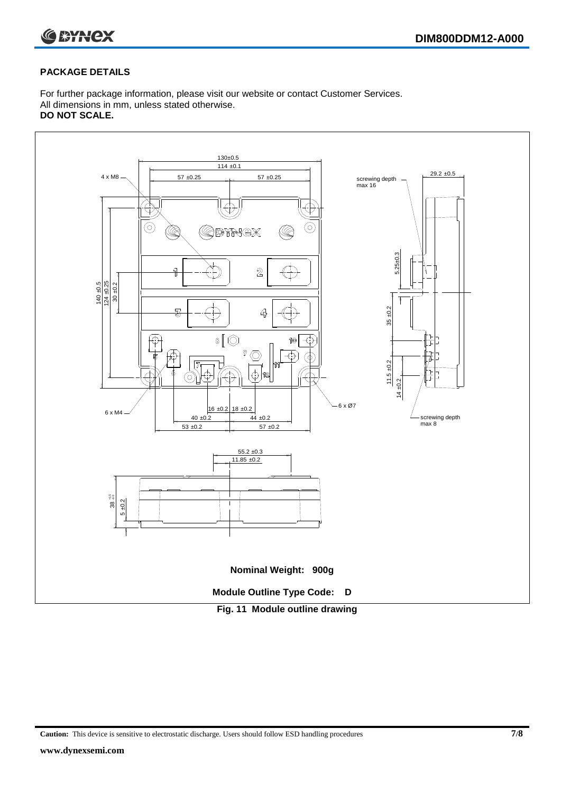

#### **PACKAGE DETAILS**

For further package information, please visit our website or contact Customer Services. All dimensions in mm, unless stated otherwise. **DO NOT SCALE.**



**Caution:** This device is sensitive to electrostatic discharge. Users should follow ESD handling procedures **7/8**